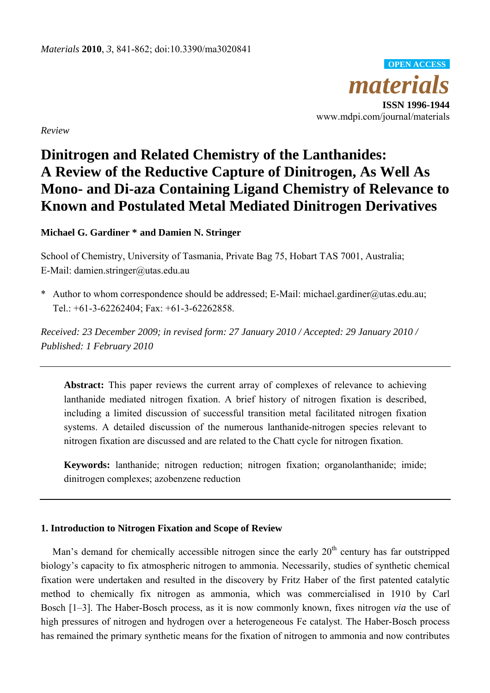*materia* **ISSN 1996-1944 OPEN ACCESS**

www.mdpi.com/journal/materials

*Review* 

# **Dinitrogen and Related Chemistry of the Lanthanides: A Review of the Reductive Capture of Dinitrogen, As Well As Mono- and Di-aza Containing Ligand Chemistry of Relevance to Known and Postulated Metal Mediated Dinitrogen Derivatives**

**Michael G. Gardiner \* and Damien N. Stringer** 

School of Chemistry, University of Tasmania, Private Bag 75, Hobart TAS 7001, Australia; E-Mail: damien.stringer@utas.edu.au

\* Author to whom correspondence should be addressed; E-Mail: michael.gardiner@utas.edu.au; Tel.: +61-3-62262404; Fax: +61-3-62262858.

*Received: 23 December 2009; in revised form: 27 January 2010 / Accepted: 29 January 2010 / Published: 1 February 2010* 

Abstract: This paper reviews the current array of complexes of relevance to achieving lanthanide mediated nitrogen fixation. A brief history of nitrogen fixation is described, including a limited discussion of successful transition metal facilitated nitrogen fixation systems. A detailed discussion of the numerous lanthanide-nitrogen species relevant to nitrogen fixation are discussed and are related to the Chatt cycle for nitrogen fixation.

**Keywords:** lanthanide; nitrogen reduction; nitrogen fixation; organolanthanide; imide; dinitrogen complexes; azobenzene reduction

# **1. Introduction to Nitrogen Fixation and Scope of Review**

Man's demand for chemically accessible nitrogen since the early 20<sup>th</sup> century has far outstripped biology's capacity to fix atmospheric nitrogen to ammonia. Necessarily, studies of synthetic chemical fixation were undertaken and resulted in the discovery by Fritz Haber of the first patented catalytic method to chemically fix nitrogen as ammonia, which was commercialised in 1910 by Carl Bosch [1–3]. The Haber-Bosch process, as it is now commonly known, fixes nitrogen *via* the use of high pressures of nitrogen and hydrogen over a heterogeneous Fe catalyst. The Haber-Bosch process has remained the primary synthetic means for the fixation of nitrogen to ammonia and now contributes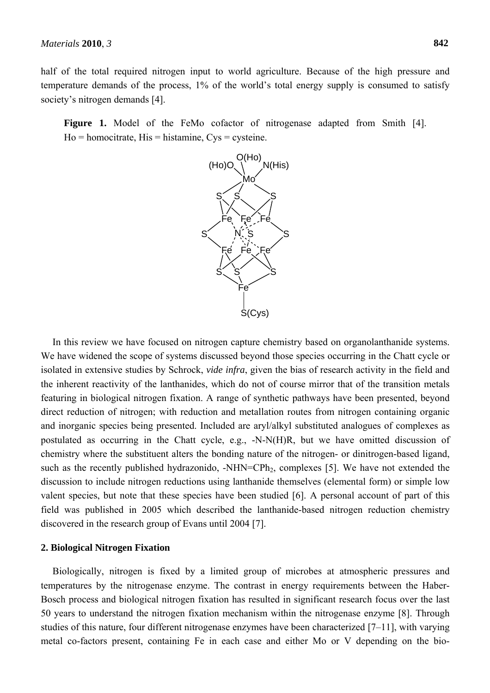half of the total required nitrogen input to world agriculture. Because of the high pressure and temperature demands of the process, 1% of the world's total energy supply is consumed to satisfy society's nitrogen demands [4].

Figure 1. Model of the FeMo cofactor of nitrogenase adapted from Smith [4].  $Ho = homeitrate, His = histamine, Cys = cysteine.$ 



In this review we have focused on nitrogen capture chemistry based on organolanthanide systems. We have widened the scope of systems discussed beyond those species occurring in the Chatt cycle or isolated in extensive studies by Schrock, *vide infra*, given the bias of research activity in the field and the inherent reactivity of the lanthanides, which do not of course mirror that of the transition metals featuring in biological nitrogen fixation. A range of synthetic pathways have been presented, beyond direct reduction of nitrogen; with reduction and metallation routes from nitrogen containing organic and inorganic species being presented. Included are aryl/alkyl substituted analogues of complexes as postulated as occurring in the Chatt cycle, e.g., -N-N(H)R, but we have omitted discussion of chemistry where the substituent alters the bonding nature of the nitrogen- or dinitrogen-based ligand, such as the recently published hydrazonido,  $-NHN=CPh<sub>2</sub>$ , complexes [5]. We have not extended the discussion to include nitrogen reductions using lanthanide themselves (elemental form) or simple low valent species, but note that these species have been studied [6]. A personal account of part of this field was published in 2005 which described the lanthanide-based nitrogen reduction chemistry discovered in the research group of Evans until 2004 [7].

#### **2. Biological Nitrogen Fixation**

Biologically, nitrogen is fixed by a limited group of microbes at atmospheric pressures and temperatures by the nitrogenase enzyme. The contrast in energy requirements between the Haber-Bosch process and biological nitrogen fixation has resulted in significant research focus over the last 50 years to understand the nitrogen fixation mechanism within the nitrogenase enzyme [8]. Through studies of this nature, four different nitrogenase enzymes have been characterized [7–11], with varying metal co-factors present, containing Fe in each case and either Mo or V depending on the bio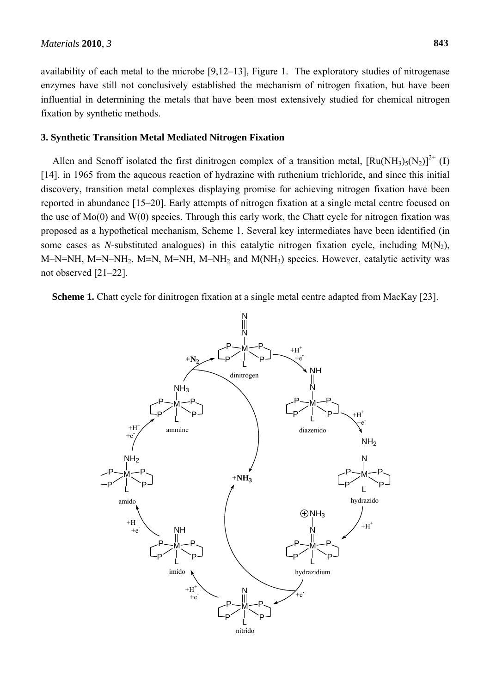availability of each metal to the microbe [9,12–13], Figure 1. The exploratory studies of nitrogenase enzymes have still not conclusively established the mechanism of nitrogen fixation, but have been influential in determining the metals that have been most extensively studied for chemical nitrogen fixation by synthetic methods.

#### **3. Synthetic Transition Metal Mediated Nitrogen Fixation**

Allen and Senoff isolated the first dinitrogen complex of a transition metal,  $\left[\text{Ru(NH<sub>3</sub>)<sub>5</sub>(N<sub>2</sub>)}\right]^{2+}$  (I) [14], in 1965 from the aqueous reaction of hydrazine with ruthenium trichloride, and since this initial discovery, transition metal complexes displaying promise for achieving nitrogen fixation have been reported in abundance [15–20]. Early attempts of nitrogen fixation at a single metal centre focused on the use of Mo(0) and W(0) species. Through this early work, the Chatt cycle for nitrogen fixation was proposed as a hypothetical mechanism, Scheme 1. Several key intermediates have been identified (in some cases as *N*-substituted analogues) in this catalytic nitrogen fixation cycle, including  $M(N_2)$ , M–N=NH, M=N–NH2, M≡N, M=NH, M–NH2 and M(NH3) species. However, catalytic activity was not observed [21–22].

**Scheme 1.** Chatt cycle for dinitrogen fixation at a single metal centre adapted from MacKay [23].

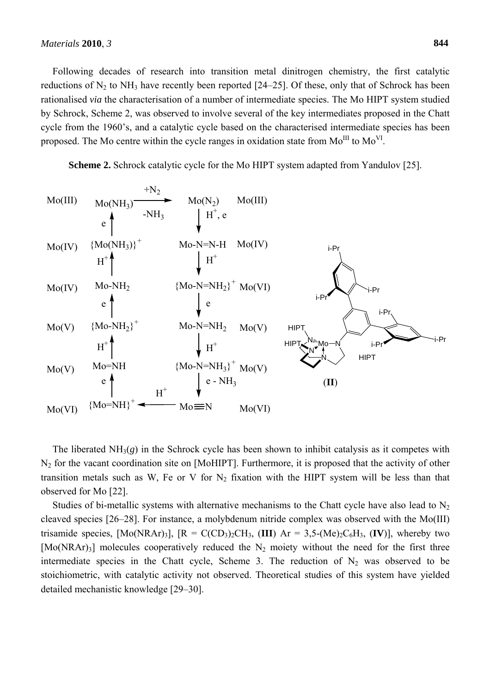Following decades of research into transition metal dinitrogen chemistry, the first catalytic reductions of  $N_2$  to  $NH_3$  have recently been reported [24–25]. Of these, only that of Schrock has been rationalised *via* the characterisation of a number of intermediate species. The Mo HIPT system studied by Schrock, Scheme 2, was observed to involve several of the key intermediates proposed in the Chatt cycle from the 1960's, and a catalytic cycle based on the characterised intermediate species has been proposed. The Mo centre within the cycle ranges in oxidation state from  $Mo^{III}$  to  $Mo^{VI}$ .

**Scheme 2.** Schrock catalytic cycle for the Mo HIPT system adapted from Yandulov [25].



The liberated  $NH<sub>3</sub>(g)$  in the Schrock cycle has been shown to inhibit catalysis as it competes with N2 for the vacant coordination site on [MoHIPT]. Furthermore, it is proposed that the activity of other transition metals such as W, Fe or V for  $N_2$  fixation with the HIPT system will be less than that observed for Mo [22].

Studies of bi-metallic systems with alternative mechanisms to the Chatt cycle have also lead to  $N_2$ cleaved species [26–28]. For instance, a molybdenum nitride complex was observed with the Mo(III) trisamide species,  $[Mo(NRAr)_3]$ ,  $[R = C(CD_3)_2CH_3$ ,  $(III)$  Ar = 3,5- $(Me)_2C_6H_3$ ,  $(IV)$ ], whereby two  $[Mo(NRAr)_3]$  molecules cooperatively reduced the N<sub>2</sub> moiety without the need for the first three intermediate species in the Chatt cycle, Scheme 3. The reduction of  $N_2$  was observed to be stoichiometric, with catalytic activity not observed. Theoretical studies of this system have yielded detailed mechanistic knowledge [29–30].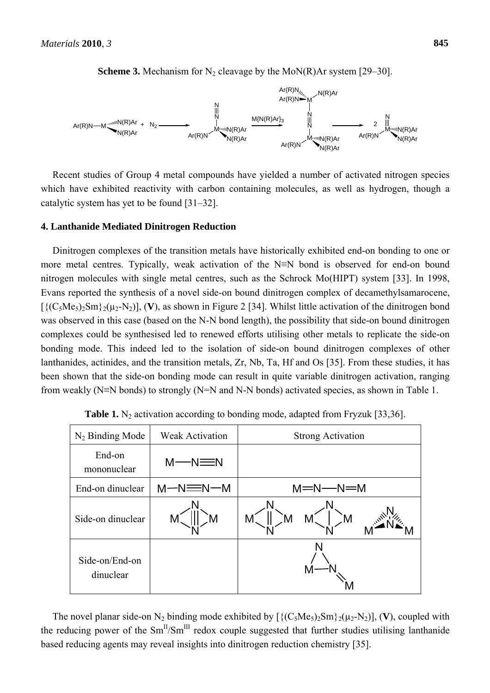

**Scheme 3.** Mechanism for  $N_2$  cleavage by the MoN(R)Ar system [29–30].

Recent studies of Group 4 metal compounds have yielded a number of activated nitrogen species which have exhibited reactivity with carbon containing molecules, as well as hydrogen, though a catalytic system has yet to be found [31–32].

#### **4. Lanthanide Mediated Dinitrogen Reduction**

Dinitrogen complexes of the transition metals have historically exhibited end-on bonding to one or more metal centres. Typically, weak activation of the N≡N bond is observed for end-on bound nitrogen molecules with single metal centres, such as the Schrock Mo(HIPT) system [33]. In 1998, Evans reported the synthesis of a novel side-on bound dinitrogen complex of decamethylsamarocene,  $[\{({C_5Me_5})_2Sm\}_2(\mu_2-N_2)],$  (V), as shown in Figure 2 [34]. Whilst little activation of the dinitrogen bond was observed in this case (based on the N-N bond length), the possibility that side-on bound dinitrogen complexes could be synthesised led to renewed efforts utilising other metals to replicate the side-on bonding mode. This indeed led to the isolation of side-on bound dinitrogen complexes of other lanthanides, actinides, and the transition metals, Zr, Nb, Ta, Hf and Os [35]. From these studies, it has been shown that the side-on bonding mode can result in quite variable dinitrogen activation, ranging from weakly (N≡N bonds) to strongly (N=N and N-N bonds) activated species, as shown in Table 1.

| $N_2$ Binding Mode          | <b>Weak Activation</b> | <b>Strong Activation</b> |
|-----------------------------|------------------------|--------------------------|
| End-on<br>mononuclear       | $M$ —N $\equiv$ N      |                          |
| End-on dinuclear            | $M-N \equiv N-M$       | $M = N - N = M$          |
| Side-on dinuclear           | M                      | M                        |
| Side-on/End-on<br>dinuclear |                        |                          |

**Table 1.** N<sub>2</sub> activation according to bonding mode, adapted from Fryzuk [33,36].

The novel planar side-on N<sub>2</sub> binding mode exhibited by  $[\{(\text{C}_5\text{Me}_5)_2\text{Sm}\}_2(\mu_2-\text{N}_2)],$  (V), coupled with the reducing power of the  $Sm<sup>H</sup>/Sm<sup>III</sup>$  redox couple suggested that further studies utilising lanthanide based reducing agents may reveal insights into dinitrogen reduction chemistry [35].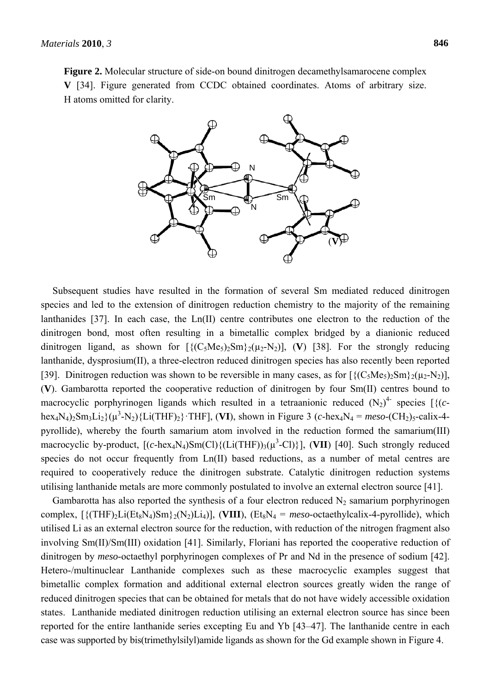**Figure 2.** Molecular structure of side-on bound dinitrogen decamethylsamarocene complex **V** [34]. Figure generated from CCDC obtained coordinates. Atoms of arbitrary size. H atoms omitted for clarity.



Subsequent studies have resulted in the formation of several Sm mediated reduced dinitrogen species and led to the extension of dinitrogen reduction chemistry to the majority of the remaining lanthanides [37]. In each case, the Ln(II) centre contributes one electron to the reduction of the dinitrogen bond, most often resulting in a bimetallic complex bridged by a dianionic reduced dinitrogen ligand, as shown for  $[\{(C_5Me_5)_2Sm\}_2(\mu_2-N_2)]$ , (V) [38]. For the strongly reducing lanthanide, dysprosium(II), a three-electron reduced dinitrogen species has also recently been reported [39]. Dinitrogen reduction was shown to be reversible in many cases, as for  $\frac{1}{(C_5Me_5)_2Sm_2^2(\mu_2-N_2)}$ , (**V**). Gambarotta reported the cooperative reduction of dinitrogen by four Sm(II) centres bound to macrocyclic porphyrinogen ligands which resulted in a tetraanionic reduced  $(N_2)^4$  species  $[(c$  $hex_4N_4$ <sub>2</sub>Sm<sub>3</sub>Li<sub>2</sub>}( $\mu^3$ -N<sub>2</sub>){Li(THF)<sub>2</sub>}·THF], (**VI**), shown in Figure 3 (*c*-hex<sub>4</sub>N<sub>4</sub> = *meso*-(CH<sub>2</sub>)<sub>5</sub>-calix-4pyrollide), whereby the fourth samarium atom involved in the reduction formed the samarium(III) macrocyclic by-product,  $[(c-hex_4N_4)Sm(Cl){(Li(THF))}_3(\mu^3-Cl){},$  (VII) [40]. Such strongly reduced species do not occur frequently from Ln(II) based reductions, as a number of metal centres are required to cooperatively reduce the dinitrogen substrate. Catalytic dinitrogen reduction systems utilising lanthanide metals are more commonly postulated to involve an external electron source [41].

Gambarotta has also reported the synthesis of a four electron reduced  $N_2$  samarium porphyrinogen complex,  $[\{(\text{THF})_2\text{Li}(\text{Et}_8\text{N}_4)\text{Sm}\}_2(\text{N}_2)\text{Li}_4]$ ,  $(\text{VIII})$ ,  $(\text{Et}_8\text{N}_4 = \text{meso-octaethylcalix-4-pyrollide})$ , which utilised Li as an external electron source for the reduction, with reduction of the nitrogen fragment also involving Sm(II)/Sm(III) oxidation [41]. Similarly, Floriani has reported the cooperative reduction of dinitrogen by *meso*-octaethyl porphyrinogen complexes of Pr and Nd in the presence of sodium [42]. Hetero-/multinuclear Lanthanide complexes such as these macrocyclic examples suggest that bimetallic complex formation and additional external electron sources greatly widen the range of reduced dinitrogen species that can be obtained for metals that do not have widely accessible oxidation states. Lanthanide mediated dinitrogen reduction utilising an external electron source has since been reported for the entire lanthanide series excepting Eu and Yb [43–47]. The lanthanide centre in each case was supported by bis(trimethylsilyl)amide ligands as shown for the Gd example shown in Figure 4.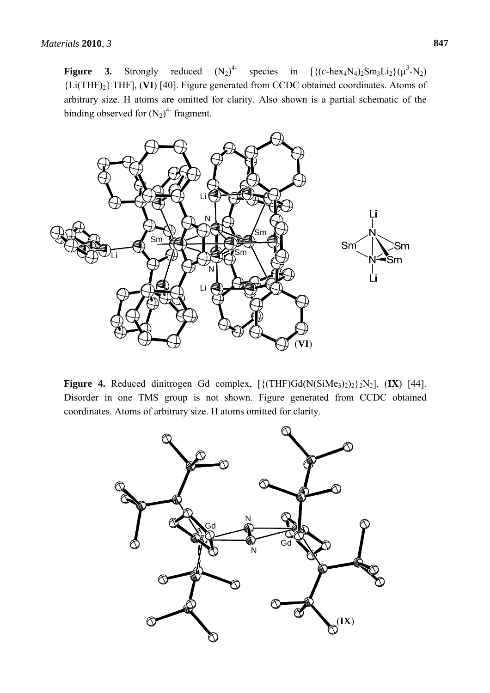**Figure 3.** Strongly reduced  $(N_2)^4$ <sup>4</sup> species in  $[\{(c-hex_4N_4)_2Sm_3Li_2\}(\mu^3-N_2)]$ {Li(THF)2}. THF], (**VI**) [40]. Figure generated from CCDC obtained coordinates. Atoms of arbitrary size. H atoms are omitted for clarity. Also shown is a partial schematic of the binding observed for  $(N_2)^4$ - fragment.



**Figure 4.** Reduced dinitrogen Gd complex,  $[\{(\text{THF})\text{Gd}(\text{N}(\text{SiMe}_3)_2)_2\}_2\}]\text{N}_2]$ ,  $(\text{IX})$  [44]. Disorder in one TMS group is not shown. Figure generated from CCDC obtained coordinates. Atoms of arbitrary size. H atoms omitted for clarity.

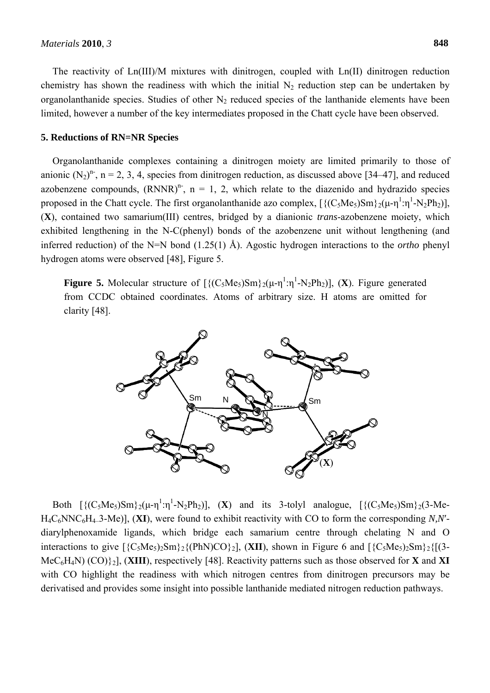The reactivity of Ln(III)/M mixtures with dinitrogen, coupled with Ln(II) dinitrogen reduction chemistry has shown the readiness with which the initial  $N_2$  reduction step can be undertaken by organolanthanide species. Studies of other  $N_2$  reduced species of the lanthanide elements have been limited, however a number of the key intermediates proposed in the Chatt cycle have been observed.

#### **5. Reductions of RN=NR Species**

Organolanthanide complexes containing a dinitrogen moiety are limited primarily to those of anionic  $(N_2)^n$ , n = 2, 3, 4, species from dinitrogen reduction, as discussed above [34–47], and reduced azobenzene compounds,  $(RNNR)^n$ , n = 1, 2, which relate to the diazenido and hydrazido species proposed in the Chatt cycle. The first organolanthanide azo complex,  $[\{(C_5Me_5)Sm\}_2(\mu-\eta^1:\eta^1-N_2Ph_2)],$ (**X**), contained two samarium(III) centres, bridged by a dianionic *trans*-azobenzene moiety, which exhibited lengthening in the N-C(phenyl) bonds of the azobenzene unit without lengthening (and inferred reduction) of the N=N bond (1.25(1) Å). Agostic hydrogen interactions to the *ortho* phenyl hydrogen atoms were observed [48], Figure 5.

**Figure 5.** Molecular structure of  $[\{ (C_5Me_5)Sm \} _2(\mu-\eta^1:\eta^1-N_2Ph_2)], (X)$ . Figure generated from CCDC obtained coordinates. Atoms of arbitrary size. H atoms are omitted for clarity [48].



Both  $[\{(C_5Me_5)Sm\}_2(\mu-\eta^1:\eta^1-N_2Ph_2)],$  (X) and its 3-tolyl analogue,  $[\{(C_5Me_5)Sm\}_2(3-Me-1)]$ H4C6NNC6H4–3-Me)], (**XI**), were found to exhibit reactivity with CO to form the corresponding *N,N*′ diarylphenoxamide ligands, which bridge each samarium centre through chelating N and O interactions to give  $[\{C_5Me_5\}Sm\}(\{PhN)CO\}$ . (XII), shown in Figure 6 and  $[\{C_5Me_5\}Sm\}(\{[3-$ MeC6H4N) (CO)}2], (**XIII**), respectively [48]. Reactivity patterns such as those observed for **X** and **XI** with CO highlight the readiness with which nitrogen centres from dinitrogen precursors may be derivatised and provides some insight into possible lanthanide mediated nitrogen reduction pathways.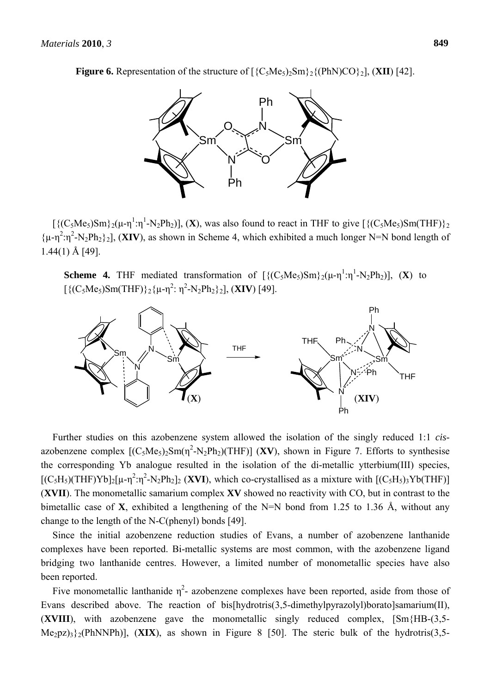**Figure 6.** Representation of the structure of  $[\{C_5Me_5\}2Sm\}2\{(\text{PhN})CO\}2]$ , (XII) [42].



 $\left[\{(C_5Me_5)Sm\}_2(\mu-\eta^1:\eta^1-N_2Ph_2)\right]$ , (X), was also found to react in THF to give  $\left[\{(C_5Me_5)Sm(THF)\}_2\right]$  $\{\mu - \eta^2 : \eta^2 - N_2Ph_2\}_2$ ], (XIV), as shown in Scheme 4, which exhibited a much longer N=N bond length of 1.44(1) Å [49].

**Scheme 4.** THF mediated transformation of  $[\{ (C_5Me_5)Sm \} _2(\mu-\eta^1:\eta^1-N_2Ph_2)], (X)$  to  $[{({C_5Me_5})Sm(THF)}_2{\mu-\eta^2:\eta^2-N_2Ph_2}_{2}],$  (XIV) [49].



Further studies on this azobenzene system allowed the isolation of the singly reduced 1:1 *cis*azobenzene complex  $[(C_5Me_5)_2Sm(\eta^2-N_2Ph_2)(THF)]$  (XV), shown in Figure 7. Efforts to synthesise the corresponding Yb analogue resulted in the isolation of the di-metallic ytterbium(III) species,  $[(C_5H_5)(THF)Yb]_2[\mu-\eta^2:\eta^2-N_2Ph_2]_2$  (XVI), which co-crystallised as a mixture with  $[(C_5H_5)_3Yb(THF)]$ (**XVII**). The monometallic samarium complex **XV** showed no reactivity with CO, but in contrast to the bimetallic case of **X**, exhibited a lengthening of the N=N bond from 1.25 to 1.36 Å, without any change to the length of the N-C(phenyl) bonds [49].

Since the initial azobenzene reduction studies of Evans, a number of azobenzene lanthanide complexes have been reported. Bi-metallic systems are most common, with the azobenzene ligand bridging two lanthanide centres. However, a limited number of monometallic species have also been reported.

Five monometallic lanthanide  $\eta^2$ - azobenzene complexes have been reported, aside from those of Evans described above. The reaction of bis[hydrotris(3,5-dimethylpyrazolyl)borato]samarium(II), (**XVIII**), with azobenzene gave the monometallic singly reduced complex, [Sm{HB-(3,5- Me2pz)3}2(PhNNPh)], (**XIX**), as shown in Figure 8 [50]. The steric bulk of the hydrotris(3,5-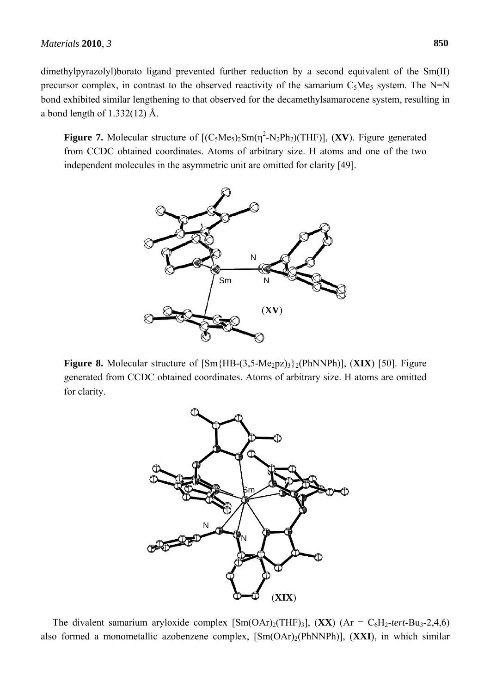dimethylpyrazolyl)borato ligand prevented further reduction by a second equivalent of the Sm(II) precursor complex, in contrast to the observed reactivity of the samarium  $C_5Me_5$  system. The N=N bond exhibited similar lengthening to that observed for the decamethylsamarocene system, resulting in a bond length of  $1.332(12)$  Å.

**Figure 7.** Molecular structure of  $[(C_5Me_5)_2Sm(\eta^2-N_2Ph_2)(THF)]$ , (XV). Figure generated from CCDC obtained coordinates. Atoms of arbitrary size. H atoms and one of the two independent molecules in the asymmetric unit are omitted for clarity [49].



**Figure 8.** Molecular structure of  $[\text{Sm}{HB-(3,5-Me_2pz)}_3$ <sub>2</sub>(PhNNPh)], (XIX) [50]. Figure generated from CCDC obtained coordinates. Atoms of arbitrary size. H atoms are omitted for clarity.



The divalent samarium aryloxide complex  $[Sm(OAr)<sub>2</sub>(THF)<sub>3</sub>], (XX) (Ar = C<sub>6</sub>H<sub>2</sub>-*tert*-Bu<sub>3</sub>-2,4,6)$ also formed a monometallic azobenzene complex, [Sm(OAr)2(PhNNPh)], (**XXI**), in which similar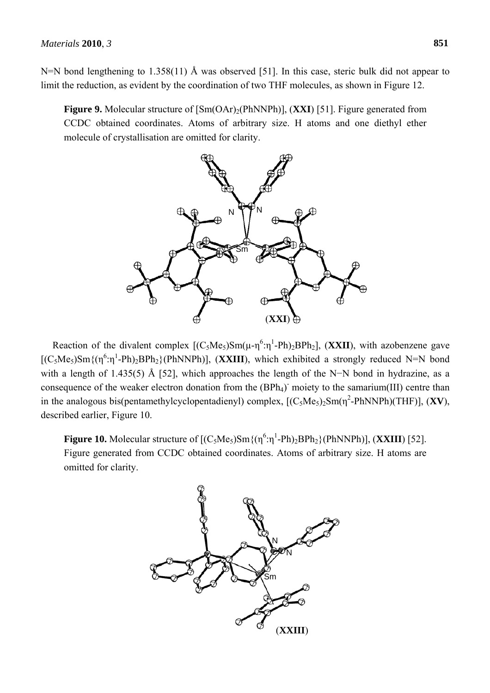N=N bond lengthening to 1.358(11) Å was observed [51]. In this case, steric bulk did not appear to limit the reduction, as evident by the coordination of two THF molecules, as shown in Figure 12.

**Figure 9.** Molecular structure of  $[Sm(OAr)_{2}(PhNNPh)]$ , (XXI) [51]. Figure generated from CCDC obtained coordinates. Atoms of arbitrary size. H atoms and one diethyl ether molecule of crystallisation are omitted for clarity.



Reaction of the divalent complex  $[(C_5Me_5)Sm(\mu-\eta^6:\eta^1-Ph)_2BPh_2]$ , (XXII), with azobenzene gave  $[(C_5Me_5)Sm{(n^6:\eta^1-Ph)_2BPh_2}(PhNNPh)]$ , (XXIII), which exhibited a strongly reduced N=N bond with a length of 1.435(5) Å [52], which approaches the length of the N–N bond in hydrazine, as a consequence of the weaker electron donation from the (BPh<sub>4</sub>) moiety to the samarium(III) centre than in the analogous bis(pentamethylcyclopentadienyl) complex,  $[(C_5Me_5)_2Sm(\eta^2-PhNNPh)(THF)]$ ,  $(XV)$ , described earlier, Figure 10.

**Figure 10.** Molecular structure of  $[(C_5Me_5)Sm{(n^6:n^1-Ph)_2BPh_2}(PhNNPh)]$ ,  $(XXIII)$  [52]. Figure generated from CCDC obtained coordinates. Atoms of arbitrary size. H atoms are omitted for clarity.

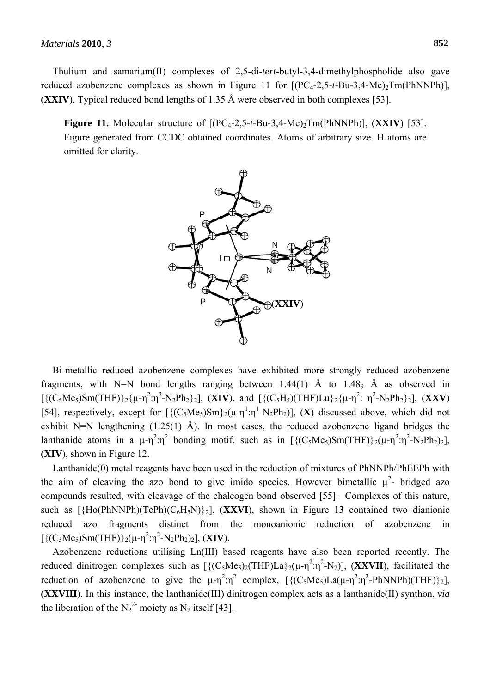Thulium and samarium(II) complexes of 2,5-di-*tert*-butyl-3,4-dimethylphospholide also gave reduced azobenzene complexes as shown in Figure 11 for  $[(PC_{4}-2,5-t-Bu-3,4-Me)_{2}Tm(PhNNPh)]$ , (**XXIV**). Typical reduced bond lengths of 1.35 Å were observed in both complexes [53].

**Figure 11.** Molecular structure of  $[(PC<sub>4</sub>-2,5-t-Bu-3,4-Me)<sub>2</sub>Im(PhNNPh)]$ ,  $(XXIV)$  [53]. Figure generated from CCDC obtained coordinates. Atoms of arbitrary size. H atoms are omitted for clarity.



Bi-metallic reduced azobenzene complexes have exhibited more strongly reduced azobenzene fragments, with N=N bond lengths ranging between  $1.44(1)$  Å to  $1.48\degree$  Å as observed in  $[\{ (C_5Me_5)Sm(THF) \}_2 \{\mu - \eta^2 : \eta^2 - N_2Ph_2\}_2]$ , (XIV), and  $[\{ (C_5H_5)(THF)Lu \}_2 \{\mu - \eta^2 : \eta^2 - N_2Ph_2\}_2]$ , (XXV) [54], respectively, except for  $[\{(C_5Me_5)Sm\}_2(\mu-\eta^1:\eta^1-N_2Ph_2)]$ , (X) discussed above, which did not exhibit N=N lengthening  $(1.25(1)$  Å). In most cases, the reduced azobenzene ligand bridges the lanthanide atoms in a  $\mu$ -η<sup>2</sup>:η<sup>2</sup> bonding motif, such as in [ $\{(C_5Me_5)Sm(THF)\}\text{2}(\mu-\eta^2:\eta^2-N_2Ph_2)_2$ ], (**XIV**), shown in Figure 12.

Lanthanide(0) metal reagents have been used in the reduction of mixtures of PhNNPh/PhEEPh with the aim of cleaving the azo bond to give imido species. However bimetallic  $\mu^2$ - bridged azo compounds resulted, with cleavage of the chalcogen bond observed [55]. Complexes of this nature, such as  $[\{Ho(PhNNPh)(TePh)(C_6H_5N)\}_2]$ ,  $(\textbf{XXVI})$ , shown in Figure 13 contained two dianionic reduced azo fragments distinct from the monoanionic reduction of azobenzene in  $[{(C_5Me_5)Sm(THF)}_2(\mu-\eta^2:\eta^2-N_2Ph_2)_2]$ , (XIV).

Azobenzene reductions utilising Ln(III) based reagents have also been reported recently. The reduced dinitrogen complexes such as  $[\{(C_5Me_5)_2(\text{THF})La\}_2(\mu-\eta^2:\eta^2-N_2)],$  (**XXVII**), facilitated the reduction of azobenzene to give the  $\mu - \eta^2 \cdot \eta^2$  complex,  $[\{(C_5Me_5)La(\mu - \eta^2 \cdot \eta^2 - PhNNPh)(THF)\}_2]$ , (**XXVIII**). In this instance, the lanthanide(III) dinitrogen complex acts as a lanthanide(II) synthon, *via* the liberation of the  $N_2^2$  moiety as  $N_2$  itself [43].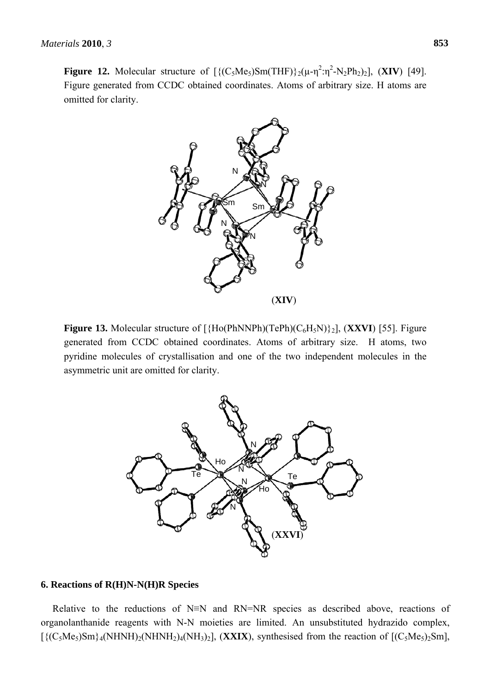**Figure 12.** Molecular structure of  $\left[ \left\{ (C_5Me_5)Sm(THF) \right\} \right]_2(\mu - \eta^2 \cdot \eta^2 - N_2Ph_2)_2$ , (XIV) [49]. Figure generated from CCDC obtained coordinates. Atoms of arbitrary size. H atoms are omitted for clarity.



**Figure 13.** Molecular structure of  $[\{Ho(PhNNPh)(TePh)(C_6H_5N)\}_2]$ ,  $(\bf XXVI)$  [55]. Figure generated from CCDC obtained coordinates. Atoms of arbitrary size. H atoms, two pyridine molecules of crystallisation and one of the two independent molecules in the asymmetric unit are omitted for clarity.



#### **6. Reactions of R(H)N-N(H)R Species**

Relative to the reductions of N≡N and RN=NR species as described above, reactions of organolanthanide reagents with N-N moieties are limited. An unsubstituted hydrazido complex,  $[\{(\text{C}_5\text{Me}_5)\text{Sm}\}_4(\text{NHNH})_2(\text{NH}_3)_4(\text{NH}_3)_2]$ , (XXIX), synthesised from the reaction of  $[(\text{C}_5\text{Me}_5)_2\text{Sm}]$ ,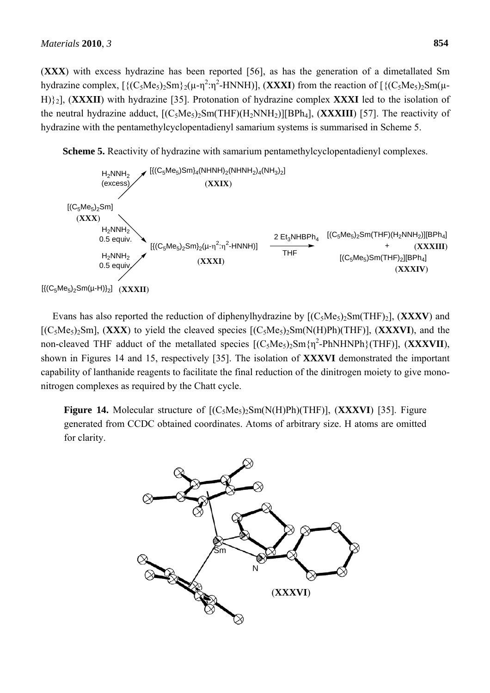(**XXX**) with excess hydrazine has been reported [56], as has the generation of a dimetallated Sm hydrazine complex,  $[\{(C_5Me_5)_2Sm\}_2(\mu-\eta^2:\eta^2-HNNH)]$ ,  $(\bf XXXI)$  from the reaction of  $[\{(C_5Me_5)_2Sm(\mu-\eta^2:\eta^2-HNNH)]$ H)}2], (**XXXII**) with hydrazine [35]. Protonation of hydrazine complex **XXXI** led to the isolation of the neutral hydrazine adduct,  $[(C_5Me_5)_2Sm(THF)(H_2NNH_2)][BPh_4]$ ,  $(XXXIII)$  [57]. The reactivity of hydrazine with the pentamethylcyclopentadienyl samarium systems is summarised in Scheme 5.

**Scheme 5.** Reactivity of hydrazine with samarium pentamethylcyclopentadienyl complexes.



Evans has also reported the reduction of diphenylhydrazine by  $[(C_5Me_5)_2Sm(THF)_2]$ ,  $(XXXV)$  and  $[(C_5Me_5)_2Sm]$ ,  $(XXX)$  to yield the cleaved species  $[(C_5Me_5)_2Sm(N(H)Ph)(THF)]$ ,  $(XXXVI)$ , and the non-cleaved THF adduct of the metallated species  $[(C_5Me_5)_2Sm\{\eta^2-PhNHNPh\} (THF)]$ ,  $(XXXVII)$ , shown in Figures 14 and 15, respectively [35]. The isolation of **XXXVI** demonstrated the important capability of lanthanide reagents to facilitate the final reduction of the dinitrogen moiety to give mononitrogen complexes as required by the Chatt cycle.

**Figure 14.** Molecular structure of  $[(C_5Me_5)_2Sm(N(H)Ph)(THF)]$ ,  $(XXXVI)$  [35]. Figure generated from CCDC obtained coordinates. Atoms of arbitrary size. H atoms are omitted for clarity.

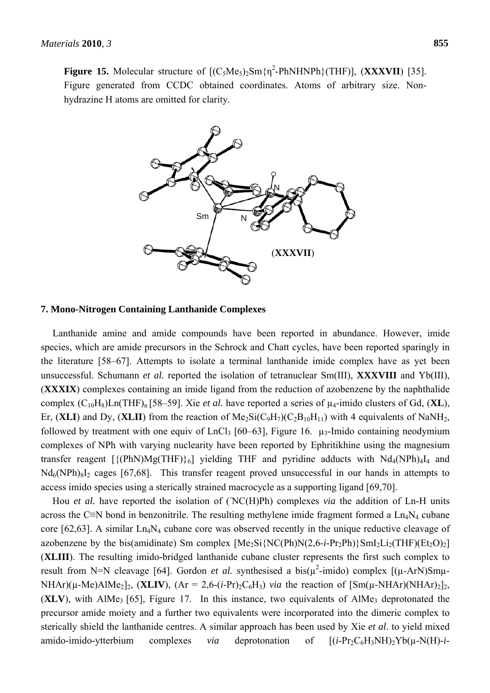**Figure 15.** Molecular structure of  $[(C_5Me_5)_2Sm\{\eta^2-PhNHNPh\} (THF)]$ ,  $(XXXVII)$  [35]. Figure generated from CCDC obtained coordinates. Atoms of arbitrary size. Nonhydrazine H atoms are omitted for clarity.



#### **7. Mono-Nitrogen Containing Lanthanide Complexes**

Lanthanide amine and amide compounds have been reported in abundance. However, imide species, which are amide precursors in the Schrock and Chatt cycles, have been reported sparingly in the literature [58–67]. Attempts to isolate a terminal lanthanide imide complex have as yet been unsuccessful. Schumann *et al.* reported the isolation of tetranuclear Sm(III), **XXXVIII** and Yb(III), (**XXXIX**) complexes containing an imide ligand from the reduction of azobenzene by the naphthalide complex  $(C_{10}H_8)$ Ln(THF)<sub>n</sub> [58–59]. Xie *et al.* have reported a series of  $\mu_4$ -imido clusters of Gd, (**XL**), Er, (**XLI**) and Dy, (**XLII**) from the reaction of  $Me<sub>2</sub>Si(C<sub>9</sub>H<sub>7</sub>)(C<sub>2</sub>B<sub>10</sub>H<sub>11</sub>)$  with 4 equivalents of NaNH<sub>2</sub>, followed by treatment with one equiv of LnCl<sub>3</sub> [60–63], Figure 16.  $\mu_3$ -Imido containing neodymium complexes of NPh with varying nuclearity have been reported by Ephritikhine using the magnesium transfer reagent  $[\{(\text{PhN})\text{Mg}(\text{THF})\}_{6}]$  yielding THF and pyridine adducts with  $\text{Nd}_{4}(\text{NPh})_{4}$  and  $Nd_6(NPh)_8I_2$  cages [67,68]. This transfer reagent proved unsuccessful in our hands in attempts to access imido species using a sterically strained macrocycle as a supporting ligand [69,70].

Hou *et al.* have reported the isolation of (NC(H)Ph) complexes *via* the addition of Ln-H units across the C≡N bond in benzonitrile. The resulting methylene imide fragment formed a  $\text{Ln}_4\text{N}_4$  cubane core [62,63]. A similar  $Ln<sub>4</sub>N<sub>4</sub>$  cubane core was observed recently in the unique reductive cleavage of azobenzene by the bis(amidinate) Sm complex  $[Me<sub>2</sub>Si{NC(Ph)N(2,6-i-Pr<sub>2</sub>Ph)}SmI<sub>2</sub>Li<sub>2</sub>(THF)(Et<sub>2</sub>O)<sub>2</sub>]$ (**XLIII**). The resulting imido-bridged lanthanide cubane cluster represents the first such complex to result from N=N cleavage [64]. Gordon *et al.* synthesised a bis( $\mu^2$ -imido) complex [( $\mu$ -ArN)Sm $\mu$ -NHAr)( $\mu$ -Me)AlMe<sub>2</sub>]<sub>2</sub>, (**XLIV**), (Ar = 2,6-(*i*-Pr)<sub>2</sub>C<sub>6</sub>H<sub>3</sub>) *via* the reaction of  $[\text{Sm}(\mu\text{-}NHAr)(\text{N}HAr)]_2$ <sub>2</sub>,  $(XLV)$ , with AlMe<sub>3</sub> [65], Figure 17. In this instance, two equivalents of AlMe<sub>3</sub> deprotonated the precursor amide moiety and a further two equivalents were incorporated into the dimeric complex to sterically shield the lanthanide centres. A similar approach has been used by Xie *et al*. to yield mixed amido-imido-ytterbium complexes *via* deprotonation of  $[(i-Pr_2C_6H_3NH)_2Yb(\mu-N(H)-i-1]$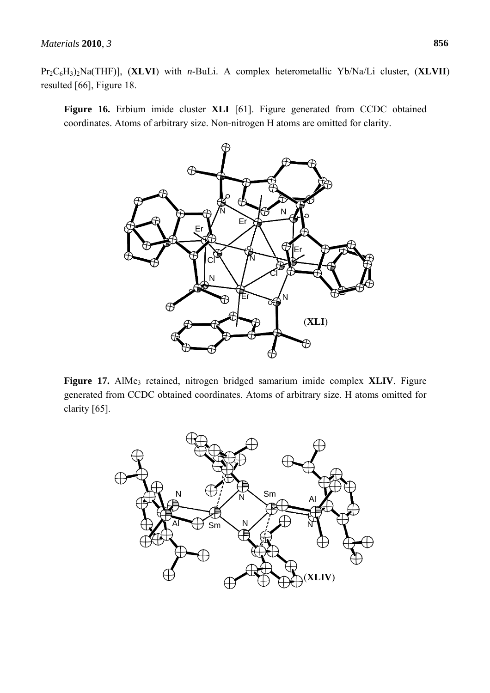Pr2C6H3)2Na(THF)], (**XLVI**) with *n*-BuLi. A complex heterometallic Yb/Na/Li cluster, (**XLVII**) resulted [66], Figure 18.

**Figure 16.** Erbium imide cluster **XLI** [61]. Figure generated from CCDC obtained coordinates. Atoms of arbitrary size. Non-nitrogen H atoms are omitted for clarity.



Figure 17. AlMe<sub>3</sub> retained, nitrogen bridged samarium imide complex **XLIV**. Figure generated from CCDC obtained coordinates. Atoms of arbitrary size. H atoms omitted for clarity [65].

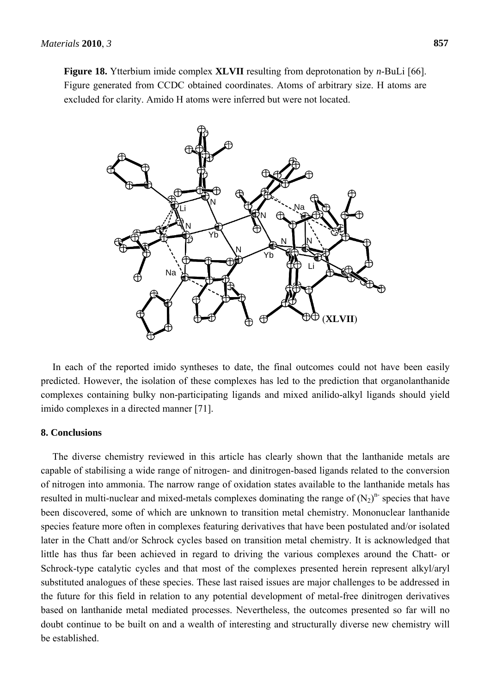**Figure 18.** Ytterbium imide complex **XLVII** resulting from deprotonation by *n*-BuLi [66]. Figure generated from CCDC obtained coordinates. Atoms of arbitrary size. H atoms are excluded for clarity. Amido H atoms were inferred but were not located.



In each of the reported imido syntheses to date, the final outcomes could not have been easily predicted. However, the isolation of these complexes has led to the prediction that organolanthanide complexes containing bulky non-participating ligands and mixed anilido-alkyl ligands should yield imido complexes in a directed manner [71].

## **8. Conclusions**

The diverse chemistry reviewed in this article has clearly shown that the lanthanide metals are capable of stabilising a wide range of nitrogen- and dinitrogen-based ligands related to the conversion of nitrogen into ammonia. The narrow range of oxidation states available to the lanthanide metals has resulted in multi-nuclear and mixed-metals complexes dominating the range of  $(N_2)^n$  species that have been discovered, some of which are unknown to transition metal chemistry. Mononuclear lanthanide species feature more often in complexes featuring derivatives that have been postulated and/or isolated later in the Chatt and/or Schrock cycles based on transition metal chemistry. It is acknowledged that little has thus far been achieved in regard to driving the various complexes around the Chatt- or Schrock-type catalytic cycles and that most of the complexes presented herein represent alkyl/aryl substituted analogues of these species. These last raised issues are major challenges to be addressed in the future for this field in relation to any potential development of metal-free dinitrogen derivatives based on lanthanide metal mediated processes. Nevertheless, the outcomes presented so far will no doubt continue to be built on and a wealth of interesting and structurally diverse new chemistry will be established.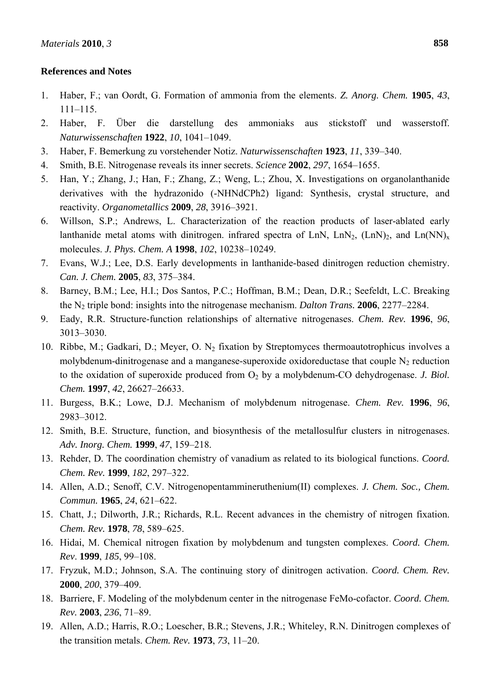## **References and Notes**

- 1. Haber, F.; van Oordt, G. Formation of ammonia from the elements. *Z. Anorg. Chem.* **1905**, *43*, 111–115.
- 2. Haber, F. Über die darstellung des ammoniaks aus stickstoff und wasserstoff. *Naturwissenschaften* **1922**, *10*, 1041–1049.
- 3. Haber, F. Bemerkung zu vorstehender Notiz. *Naturwissenschaften* **1923**, *11*, 339–340.
- 4. Smith, B.E. Nitrogenase reveals its inner secrets. *Science* **2002**, *297*, 1654–1655.
- 5. Han, Y.; Zhang, J.; Han, F.; Zhang, Z.; Weng, L.; Zhou, X. Investigations on organolanthanide derivatives with the hydrazonido (-NHNdCPh2) ligand: Synthesis, crystal structure, and reactivity. *Organometallics* **2009**, *28*, 3916–3921.
- 6. Willson, S.P.; Andrews, L. Characterization of the reaction products of laser-ablated early lanthanide metal atoms with dinitrogen. infrared spectra of LnN, LnN<sub>2</sub>, (LnN)<sub>2</sub>, and Ln(NN)<sub>x</sub> molecules. *J. Phys. Chem. A* **1998**, *102*, 10238–10249.
- 7. Evans, W.J.; Lee, D.S. Early developments in lanthanide-based dinitrogen reduction chemistry. *Can. J. Chem.* **2005**, *83*, 375–384.
- 8. Barney, B.M.; Lee, H.I.; Dos Santos, P.C.; Hoffman, B.M.; Dean, D.R.; Seefeldt, L.C. Breaking the N2 triple bond: insights into the nitrogenase mechanism. *Dalton Trans.* **2006**, 2277–2284.
- 9. Eady, R.R. Structure-function relationships of alternative nitrogenases. *Chem. Rev.* **1996**, *96*, 3013–3030.
- 10. Ribbe, M.; Gadkari, D.; Meyer, O. N<sub>2</sub> fixation by Streptomyces thermoautotrophicus involves a molybdenum-dinitrogenase and a manganese-superoxide oxidoreductase that couple  $N_2$  reduction to the oxidation of superoxide produced from O<sub>2</sub> by a molybdenum-CO dehydrogenase. *J. Biol. Chem.* **1997**, *42*, 26627–26633.
- 11. Burgess, B.K.; Lowe, D.J. Mechanism of molybdenum nitrogenase. *Chem. Rev.* **1996**, *96*, 2983–3012.
- 12. Smith, B.E. Structure, function, and biosynthesis of the metallosulfur clusters in nitrogenases. *Adv. Inorg. Chem.* **1999**, *47*, 159–218.
- 13. Rehder, D. The coordination chemistry of vanadium as related to its biological functions. *Coord. Chem. Rev.* **1999**, *182*, 297–322.
- 14. Allen, A.D.; Senoff, C.V. Nitrogenopentammineruthenium(II) complexes. *J. Chem. Soc., Chem. Commun.* **1965**, *24*, 621–622.
- 15. Chatt, J.; Dilworth, J.R.; Richards, R.L. Recent advances in the chemistry of nitrogen fixation. *Chem. Rev.* **1978**, *78*, 589–625.
- 16. Hidai, M. Chemical nitrogen fixation by molybdenum and tungsten complexes. *Coord. Chem. Rev*. **1999**, *185*, 99–108.
- 17. Fryzuk, M.D.; Johnson, S.A. The continuing story of dinitrogen activation. *Coord. Chem. Rev.* **2000**, *200*, 379–409.
- 18. Barriere, F. Modeling of the molybdenum center in the nitrogenase FeMo-cofactor. *Coord. Chem. Rev.* **2003**, *236*, 71–89.
- 19. Allen, A.D.; Harris, R.O.; Loescher, B.R.; Stevens, J.R.; Whiteley, R.N. Dinitrogen complexes of the transition metals. *Chem. Rev.* **1973**, *73*, 11–20.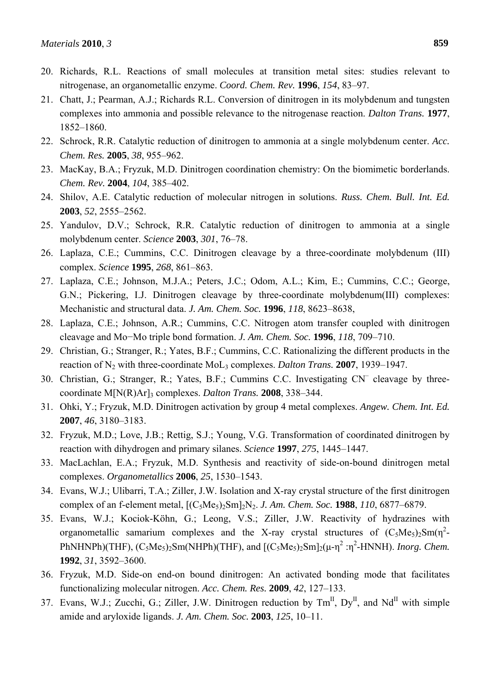- 20. Richards, R.L. Reactions of small molecules at transition metal sites: studies relevant to nitrogenase, an organometallic enzyme. *Coord. Chem. Rev.* **1996**, *154*, 83–97.
- 21. Chatt, J.; Pearman, A.J.; Richards R.L. Conversion of dinitrogen in its molybdenum and tungsten complexes into ammonia and possible relevance to the nitrogenase reaction. *Dalton Trans.* **1977**, 1852–1860.
- 22. Schrock, R.R. Catalytic reduction of dinitrogen to ammonia at a single molybdenum center. *Acc. Chem. Res.* **2005**, *38*, 955–962.
- 23. MacKay, B.A.; Fryzuk, M.D. Dinitrogen coordination chemistry: On the biomimetic borderlands. *Chem. Rev.* **2004**, *104*, 385–402.
- 24. Shilov, A.E. Catalytic reduction of molecular nitrogen in solutions. *Russ. Chem. Bull. Int. Ed.* **2003**, *52*, 2555–2562.
- 25. Yandulov, D.V.; Schrock, R.R. Catalytic reduction of dinitrogen to ammonia at a single molybdenum center. *Science* **2003**, *301*, 76–78.
- 26. Laplaza, C.E.; Cummins, C.C. Dinitrogen cleavage by a three-coordinate molybdenum (III) complex. *Science* **1995**, *268*, 861–863.
- 27. Laplaza, C.E.; Johnson, M.J.A.; Peters, J.C.; Odom, A.L.; Kim, E.; Cummins, C.C.; George, G.N.; Pickering, I.J. Dinitrogen cleavage by three-coordinate molybdenum(III) complexes: Mechanistic and structural data. *J. Am. Chem. Soc.* **1996**, *118*, 8623–8638,
- 28. Laplaza, C.E.; Johnson, A.R.; Cummins, C.C. Nitrogen atom transfer coupled with dinitrogen cleavage and Mo−Mo triple bond formation. *J. Am. Chem. Soc.* **1996**, *118*, 709–710.
- 29. Christian, G.; Stranger, R.; Yates, B.F.; Cummins, C.C. Rationalizing the different products in the reaction of N2 with three-coordinate MoL3 complexes. *Dalton Trans.* **2007**, 1939–1947.
- 30. Christian, G.; Stranger, R.; Yates, B.F.; Cummins C.C. Investigating CN– cleavage by threecoordinate M[N(R)Ar]3 complexes. *Dalton Trans.* **2008**, 338–344.
- 31. Ohki, Y.; Fryzuk, M.D. Dinitrogen activation by group 4 metal complexes. *Angew. Chem. Int. Ed.*  **2007**, *46*, 3180–3183.
- 32. Fryzuk, M.D.; Love, J.B.; Rettig, S.J.; Young, V.G. Transformation of coordinated dinitrogen by reaction with dihydrogen and primary silanes. *Science* **1997**, *275*, 1445–1447.
- 33. MacLachlan, E.A.; Fryzuk, M.D. Synthesis and reactivity of side-on-bound dinitrogen metal complexes. *Organometallics* **2006**, *25*, 1530–1543.
- 34. Evans, W.J.; Ulibarri, T.A.; Ziller, J.W. Isolation and X-ray crystal structure of the first dinitrogen complex of an f-element metal, [(C5Me5)2Sm]2N2. *J. Am. Chem. Soc.* **1988**, *110*, 6877–6879.
- 35. Evans, W.J.; Kociok-Köhn, G.; Leong, V.S.; Ziller, J.W. Reactivity of hydrazines with organometallic samarium complexes and the X-ray crystal structures of  $(C_5Me_5)_2Sm(\eta^2-$ PhNHNPh)(THF),  $(C_5Me_5)_2Sm(NHPh)(THF)$ , and  $[(C_5Me_5)_2Sm]_2(\mu-\eta^2:\eta^2-HNNH)$ . *Inorg. Chem.* **1992**, *31*, 3592–3600.
- 36. Fryzuk, M.D. Side-on end-on bound dinitrogen: An activated bonding mode that facilitates functionalizing molecular nitrogen. *Acc. Chem. Res.* **2009**, *42*, 127–133.
- 37. Evans, W.J.; Zucchi, G.; Ziller, J.W. Dinitrogen reduction by  $Tm<sup>H</sup>$ ,  $Dy<sup>H</sup>$ , and Nd<sup>II</sup> with simple amide and aryloxide ligands. *J. Am. Chem. Soc.* **2003**, *125*, 10–11.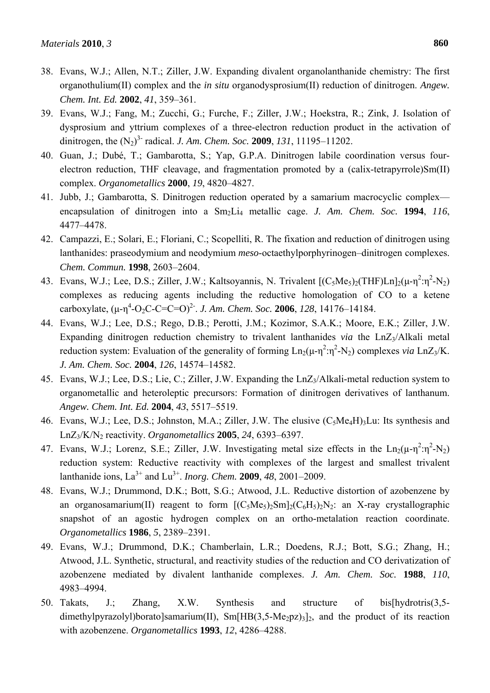- 38. Evans, W.J.; Allen, N.T.; Ziller, J.W. Expanding divalent organolanthanide chemistry: The first organothulium(II) complex and the *in situ* organodysprosium(II) reduction of dinitrogen. *Angew. Chem. Int. Ed.* **2002**, *41*, 359–361.
- 39. Evans, W.J.; Fang, M.; Zucchi, G.; Furche, F.; Ziller, J.W.; Hoekstra, R.; Zink, J. Isolation of dysprosium and yttrium complexes of a three-electron reduction product in the activation of dinitrogen, the (N2) 3- radical. *J. Am. Chem. Soc.* **2009**, *131*, 11195–11202.
- 40. Guan, J.; Dubé, T.; Gambarotta, S.; Yap, G.P.A. Dinitrogen labile coordination versus fourelectron reduction, THF cleavage, and fragmentation promoted by a (calix-tetrapyrrole)Sm(II) complex. *Organometallics* **2000**, *19*, 4820–4827.
- 41. Jubb, J.; Gambarotta, S. Dinitrogen reduction operated by a samarium macrocyclic complex encapsulation of dinitrogen into a Sm<sub>2</sub>Li<sub>4</sub> metallic cage. *J. Am. Chem. Soc.* **1994**, *116*, 4477–4478.
- 42. Campazzi, E.; Solari, E.; Floriani, C.; Scopelliti, R. The fixation and reduction of dinitrogen using lanthanides: praseodymium and neodymium *meso*-octaethylporphyrinogen–dinitrogen complexes. *Chem. Commun.* **1998**, 2603–2604.
- 43. Evans, W.J.; Lee, D.S.; Ziller, J.W.; Kaltsoyannis, N. Trivalent  $[(C_5Me_5)_2(THF)Ln]_2(\mu-\eta^2:\eta^2-N_2)$ complexes as reducing agents including the reductive homologation of CO to a ketene carboxylate,  $(\mu - \eta^4 - O_2C - C = C = O)^2$ . *J. Am. Chem. Soc.* **2006**, *128*, 14176–14184.
- 44. Evans, W.J.; Lee, D.S.; Rego, D.B.; Perotti, J.M.; Kozimor, S.A.K.; Moore, E.K.; Ziller, J.W. Expanding dinitrogen reduction chemistry to trivalent lanthanides *via* the LnZ<sub>3</sub>/Alkali metal reduction system: Evaluation of the generality of forming  $Ln_2(\mu-\eta^2;\eta^2-N_2)$  complexes *via*  $LnZ_3/K$ . *J. Am. Chem. Soc.* **2004**, *126*, 14574–14582.
- 45. Evans, W.J.; Lee, D.S.; Lie, C.; Ziller, J.W. Expanding the LnZ<sub>3</sub>/Alkali-metal reduction system to organometallic and heteroleptic precursors: Formation of dinitrogen derivatives of lanthanum. *Angew. Chem. Int. Ed.* **2004**, *43*, 5517–5519.
- 46. Evans, W.J.; Lee, D.S.; Johnston, M.A.; Ziller, J.W. The elusive (C<sub>5</sub>Me<sub>4</sub>H)<sub>3</sub>Lu: Its synthesis and LnZ3/K/N2 reactivity. *Organometallics* **2005**, *24*, 6393–6397.
- 47. Evans, W.J.; Lorenz, S.E.; Ziller, J.W. Investigating metal size effects in the  $Ln_2(\mu \eta^2 \cdot \eta^2 N_2)$ reduction system: Reductive reactivity with complexes of the largest and smallest trivalent lanthanide ions,  $La^{3+}$  and  $Lu^{3+}$ . *Inorg. Chem.* **2009**, 48, 2001–2009.
- 48. Evans, W.J.; Drummond, D.K.; Bott, S.G.; Atwood, J.L. Reductive distortion of azobenzene by an organosamarium(II) reagent to form  $[(C_5Me_5)_2Sm]_2(C_6H_5)_2N_2$ : an X-ray crystallographic snapshot of an agostic hydrogen complex on an ortho-metalation reaction coordinate. *Organometallics* **1986**, *5*, 2389–2391.
- 49. Evans, W.J.; Drummond, D.K.; Chamberlain, L.R.; Doedens, R.J.; Bott, S.G.; Zhang, H.; Atwood, J.L. Synthetic, structural, and reactivity studies of the reduction and CO derivatization of azobenzene mediated by divalent lanthanide complexes. *J. Am. Chem. Soc.* **1988**, *110*, 4983–4994.
- 50. Takats, J.; Zhang, X.W. Synthesis and structure of bis[hydrotris(3,5 dimethylpyrazolyl)borato]samarium(II), Sm[HB(3,5-Me<sub>2</sub>pz)<sub>3</sub>]<sub>2</sub>, and the product of its reaction with azobenzene. *Organometallics* **1993**, *12*, 4286–4288.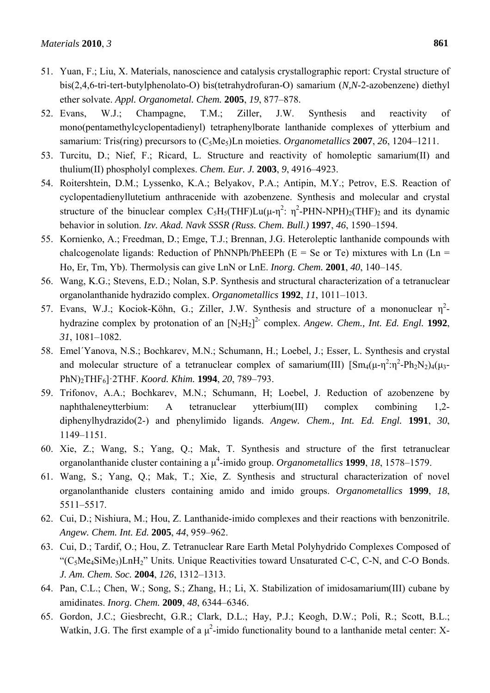- 51. Yuan, F.; Liu, X. Materials, nanoscience and catalysis crystallographic report: Crystal structure of bis(2,4,6-tri-tert-butylphenolato-O) bis(tetrahydrofuran-O) samarium (*N,N*-2-azobenzene) diethyl ether solvate. *Appl. Organometal. Chem.* **2005**, *19*, 877–878.
- 52. Evans, W.J.; Champagne, T.M.; Ziller, J.W. Synthesis and reactivity of mono(pentamethylcyclopentadienyl) tetraphenylborate lanthanide complexes of ytterbium and samarium: Tris(ring) precursors to (C<sub>5</sub>Me<sub>5</sub>)Ln moieties. *Organometallics* **2007**, 26, 1204–1211.
- 53. Turcitu, D.; Nief, F.; Ricard, L. Structure and reactivity of homoleptic samarium(II) and thulium(II) phospholyl complexes. *Chem. Eur. J.* **2003**, *9*, 4916–4923.
- 54. Roitershtein, D.M.; Lyssenko, K.A.; Belyakov, P.A.; Antipin, M.Y.; Petrov, E.S. Reaction of cyclopentadienyllutetium anthracenide with azobenzene. Synthesis and molecular and crystal structure of the binuclear complex  $C_5H_5(THF)Lu(\mu-\eta^2; \eta^2-PHN-NPH)<sub>2</sub>(THF)<sub>2</sub>$  and its dynamic behavior in solution. *Izv. Akad. Navk SSSR (Russ. Chem. Bull.)* **1997**, *46*, 1590–1594.
- 55. Kornienko, A.; Freedman, D.; Emge, T.J.; Brennan, J.G. Heteroleptic lanthanide compounds with chalcogenolate ligands: Reduction of PhNNPh/PhEEPh ( $E = Se$  or Te) mixtures with Ln ( $Ln =$ Ho, Er, Tm, Yb). Thermolysis can give LnN or LnE. *Inorg. Chem.* **2001**, *40*, 140–145.
- 56. Wang, K.G.; Stevens, E.D.; Nolan, S.P. Synthesis and structural characterization of a tetranuclear organolanthanide hydrazido complex. *Organometallics* **1992**, *11*, 1011–1013.
- 57. Evans, W.J.; Kociok-Köhn, G.; Ziller, J.W. Synthesis and structure of a mononuclear  $\eta^2$ hydrazine complex by protonation of an  $[N_2H_2]^2$  complex. Angew. Chem., Int. Ed. Engl. 1992, *31*, 1081–1082.
- 58. Emel´Yanova, N.S.; Bochkarev, M.N.; Schumann, H.; Loebel, J.; Esser, L. Synthesis and crystal and molecular structure of a tetranuclear complex of samarium(III)  $\text{[Sm}_{4}(\mu - \eta^{2}) \cdot \eta^{2} - Ph_{2}N_{2})_{4}(\mu - \eta^{2})$ PhN)2THF6]·2THF. *Koord. Khim.* **1994**, *20*, 789–793.
- 59. Trifonov, A.A.; Bochkarev, M.N.; Schumann, H; Loebel, J. Reduction of azobenzene by naphthaleneytterbium: A tetranuclear ytterbium(III) complex combining 1,2 diphenylhydrazido(2-) and phenylimido ligands. *Angew. Chem., Int. Ed. Engl.* **1991**, *30*, 1149–1151.
- 60. Xie, Z.; Wang, S.; Yang, Q.; Mak, T. Synthesis and structure of the first tetranuclear organolanthanide cluster containing a μ 4 -imido group. *Organometallics* **1999**, *18*, 1578–1579.
- 61. Wang, S.; Yang, Q.; Mak, T.; Xie, Z. Synthesis and structural characterization of novel organolanthanide clusters containing amido and imido groups. *Organometallics* **1999**, *18*, 5511–5517.
- 62. Cui, D.; Nishiura, M.; Hou, Z. Lanthanide-imido complexes and their reactions with benzonitrile. *Angew. Chem. Int. Ed.* **2005**, *44*, 959–962.
- 63. Cui, D.; Tardif, O.; Hou, Z. Tetranuclear Rare Earth Metal Polyhydrido Complexes Composed of " $(C_5Me_4SiMe_3)$ LnH<sub>2</sub>" Units. Unique Reactivities toward Unsaturated C-C, C-N, and C-O Bonds. *J. Am. Chem. Soc.* **2004**, *126*, 1312–1313.
- 64. Pan, C.L.; Chen, W.; Song, S.; Zhang, H.; Li, X. Stabilization of imidosamarium(III) cubane by amidinates. *Inorg. Chem.* **2009**, *48*, 6344–6346.
- 65. Gordon, J.C.; Giesbrecht, G.R.; Clark, D.L.; Hay, P.J.; Keogh, D.W.; Poli, R.; Scott, B.L.; Watkin, J.G. The first example of a  $\mu^2$ -imido functionality bound to a lanthanide metal center: X-